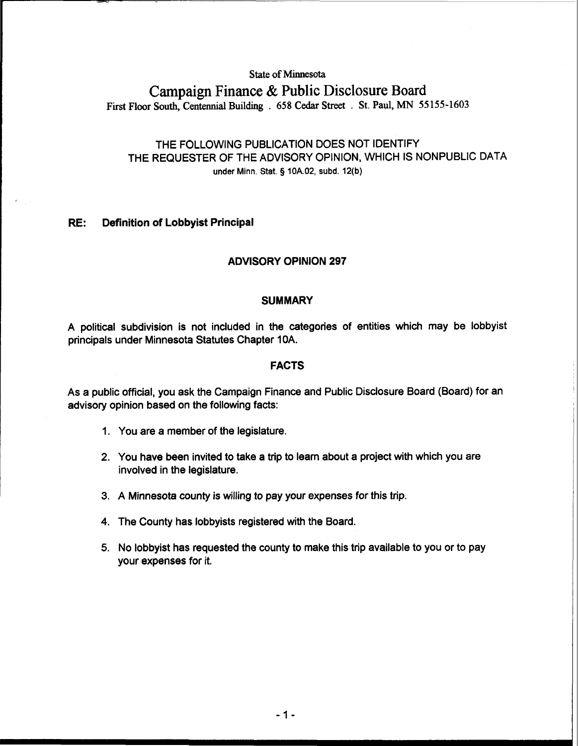## **State of Minnesota**

# **Campaign Finance** & **Public Disclosure Board**

**First Floor South, Centennial Building** . **658 Cedar Street** . **St. Paul, MN 55 155-1603** 

# THE FOLLOWING PUBLICATION DOES NOT IDENTIFY THE REQUESTER OF THE ADVISORY OPINION, WHICH IS NONPUBLIC DATA under Minn. Stat. § 10A.02, subd. 12(b)

### **RE: Definition of Lobbyist Principal**

# **ADVISORY OPINION 297**

#### **SUMMARY**

A political subdivision is not included in the categories of entities which may be lobbyist principals under Minnesota Statutes Chapter 10A.

### **FACTS**

As a public official, you ask the Campaign Finance and Public Disclosure Board (Board) for an advisory opinion based on the following facts:

- 1. You are a member of the legislature.
- 2. You have been invited to take a trip to learn about a project with which you are involved in the legislature.
- 3. A Minnesota county is willing to pay your expenses for this trip.
- 4. The County has lobbyists registered with the Board.
- 5. No lobbyist has requested the county to make this trip available to you or to pay your expenses for it.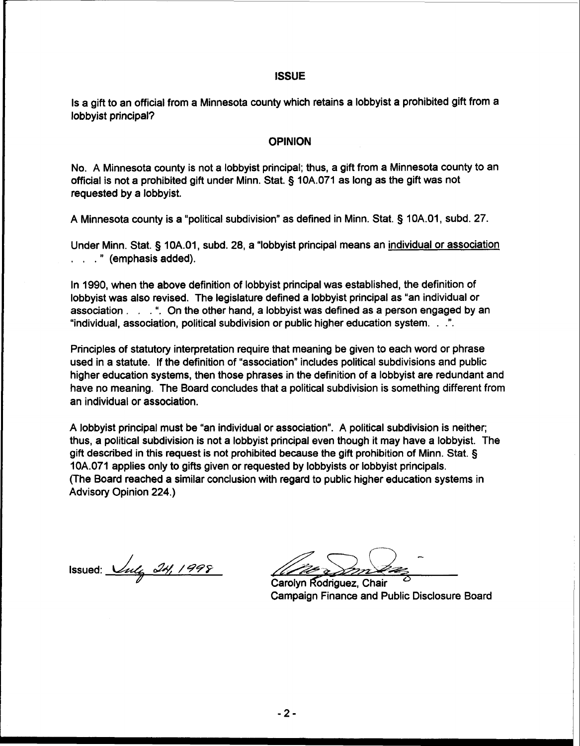#### **ISSUE**

Is a gift to an official from a Minnesota county which retains a lobbyist a prohibited gift from a lobbyist principal?

#### **OPINION**

No. A Minnesota county is not a lobbyist principal; thus, a gift from a Minnesota county to an official is not a prohibited gift under Minn. Stat. § 10A.071 as long as the gift was not requested by a lobbyist.

A Minnesota county is a "political subdivision" as defined in Minn. Stat. § 10A.01, subd. 27.

Under Minn. Stat. § 10A.01, subd. 28, a "lobbyist principal means an individual or association . . . " (emphasis added).

In 1990, when the above definition of lobbyist principal was established, the definition of lobbyist was also revised. The legislature defined a lobbyist principal as "an individual or association  $\ldots$  . ". On the other hand, a lobbyist was defined as a person engaged by an "individual, association, political subdivision or public higher education system. . .".

Principles of statutory interpretation require that meaning be given to each word or phrase used in a statute. If the definition of "association" includes political subdivisions and public higher education systems, then those phrases in the definition of a lobbyist are redundant and have no meaning. The Board concludes that a political subdivision is something different from an individual or association.

A lobbyist principal must be "an individual or association". A political subdivision is neither; thus, a political subdivision is not a lobbyist principal even though it may have a lobbyist. The gift described in this request is not prohibited because the gift prohibition of Minn. Stat. § 10A.071 applies only to gifts given or requested by lobbyists or lobbyist principals. (The Board reached a similar conclusion with regard to public higher education systems in Advisory Opinion 224.)

Issued: *14, 1998* 

*ss-*Carolyn Rodriguez, Chair

Campaign Finance and Public Disclosure Board